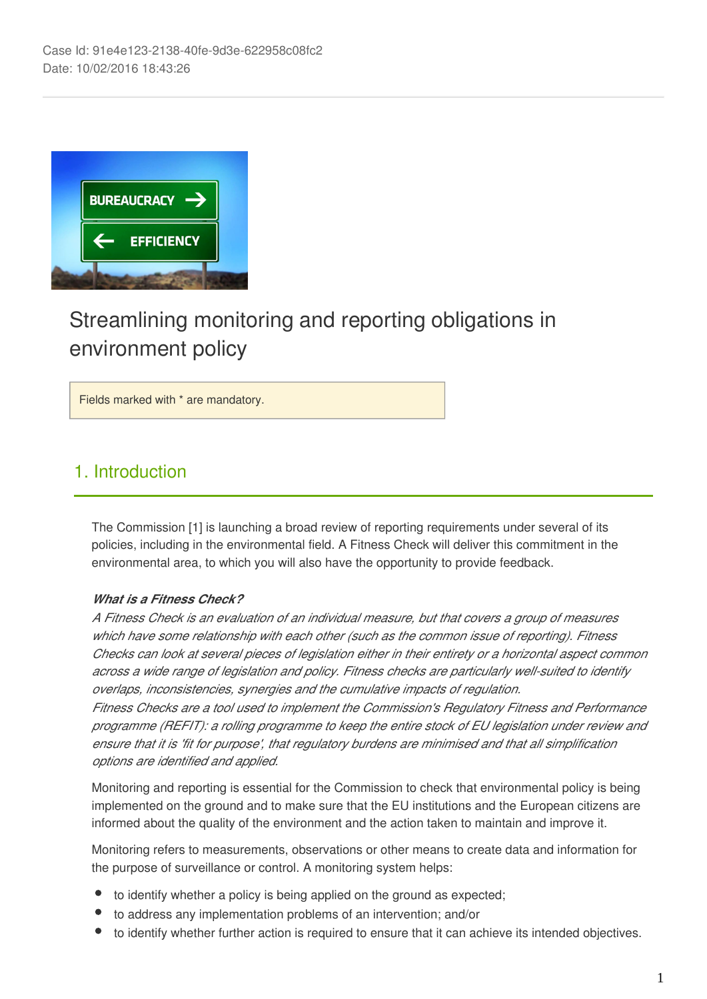

# Streamlining monitoring and reporting obligations in environment policy

Fields marked with \* are mandatory.

### 1. Introduction

The Commission [1] is launching a broad review of reporting requirements under several of its policies, including in the environmental field. A Fitness Check will deliver this commitment in the environmental area, to which you will also have the opportunity to provide feedback.

#### *What is a Fitness Check?*

*A Fitness Check is an evaluation of an individual measure, but that covers a group of measures which have some relationship with each other (such as the common issue of reporting). Fitness Checks can look at several pieces of legislation either in their entirety or a horizontal aspect common across a wide range of legislation and policy. Fitness checks are particularly well-suited to identify overlaps, inconsistencies, synergies and the cumulative impacts of regulation.*

*Fitness Checks are a tool used to implement the Commission's Regulatory Fitness and Performance programme (REFIT): a rolling programme to keep the entire stock of EU legislation under review and ensure that it is 'fit for purpose', that regulatory burdens are minimised and that all simplification options are identified and applied.*

Monitoring and reporting is essential for the Commission to check that environmental policy is being implemented on the ground and to make sure that the EU institutions and the European citizens are informed about the quality of the environment and the action taken to maintain and improve it.

Monitoring refers to measurements, observations or other means to create data and information for the purpose of surveillance or control. A monitoring system helps:

- to identify whether a policy is being applied on the ground as expected;
- to address any implementation problems of an intervention; and/or
- to identify whether further action is required to ensure that it can achieve its intended objectives.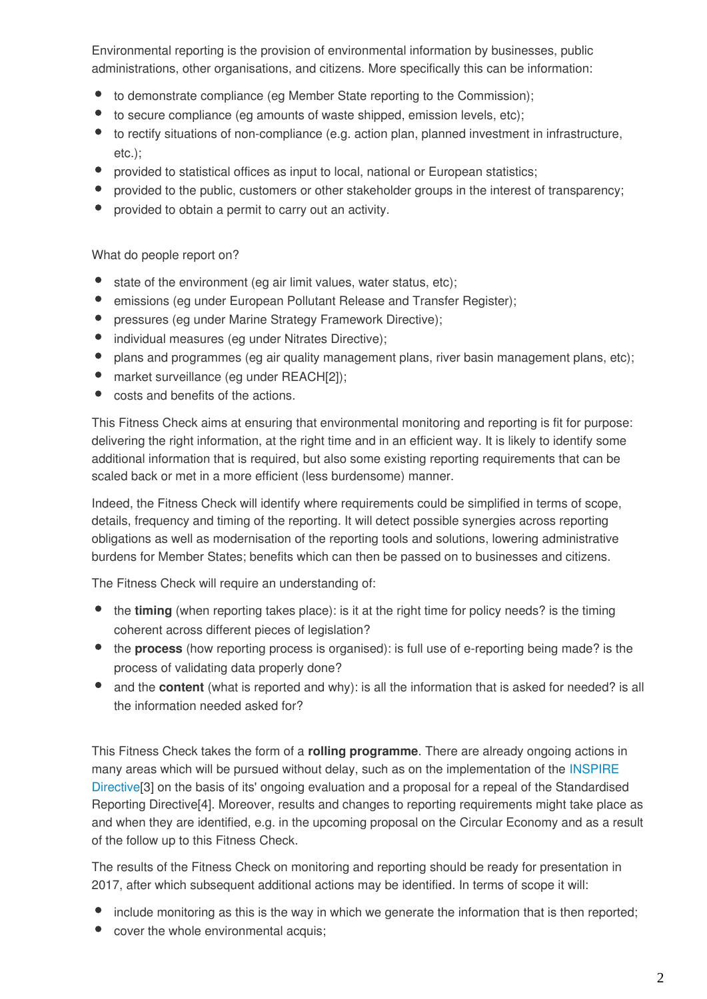Environmental reporting is the provision of environmental information by businesses, public administrations, other organisations, and citizens. More specifically this can be information:

- to demonstrate compliance (eg Member State reporting to the Commission);
- $\bullet$ to secure compliance (eg amounts of waste shipped, emission levels, etc);
- to rectify situations of non-compliance (e.g. action plan, planned investment in infrastructure, etc.);
- $\bullet$ provided to statistical offices as input to local, national or European statistics;
- provided to the public, customers or other stakeholder groups in the interest of transparency;
- provided to obtain a permit to carry out an activity.

What do people report on?

- state of the environment (eg air limit values, water status, etc);
- $\bullet$ emissions (eg under European Pollutant Release and Transfer Register);
- $\bullet$ pressures (eg under Marine Strategy Framework Directive);
- $\bullet$ individual measures (eg under Nitrates Directive);
- $\bullet$ plans and programmes (eg air quality management plans, river basin management plans, etc);
- market surveillance (eg under REACH[2]);  $\bullet$
- costs and benefits of the actions.

This Fitness Check aims at ensuring that environmental monitoring and reporting is fit for purpose: delivering the right information, at the right time and in an efficient way. It is likely to identify some additional information that is required, but also some existing reporting requirements that can be scaled back or met in a more efficient (less burdensome) manner.

Indeed, the Fitness Check will identify where requirements could be simplified in terms of scope, details, frequency and timing of the reporting. It will detect possible synergies across reporting obligations as well as modernisation of the reporting tools and solutions, lowering administrative burdens for Member States; benefits which can then be passed on to businesses and citizens.

The Fitness Check will require an understanding of:

- the **timing** (when reporting takes place): is it at the right time for policy needs? is the timing coherent across different pieces of legislation?
- the **process** (how reporting process is organised): is full use of e-reporting being made? is the process of validating data properly done?
- and the **content** (what is reported and why): is all the information that is asked for needed? is all the information needed asked for?

This Fitness Check takes the form of a **rolling programme**. There are already ongoing actions in many areas which will be pursued without delay, such as on the implementation of the [INSPIRE](http://inspire.ec.europa.eu/) [Directive](http://inspire.ec.europa.eu/)[3] on the basis of its' ongoing evaluation and a proposal for a repeal of the Standardised Reporting Directive[4]. Moreover, results and changes to reporting requirements might take place as and when they are identified, e.g. in the upcoming proposal on the Circular Economy and as a result of the follow up to this Fitness Check.

The results of the Fitness Check on monitoring and reporting should be ready for presentation in 2017, after which subsequent additional actions may be identified. In terms of scope it will:

- include monitoring as this is the way in which we generate the information that is then reported;
- cover the whole environmental acquis;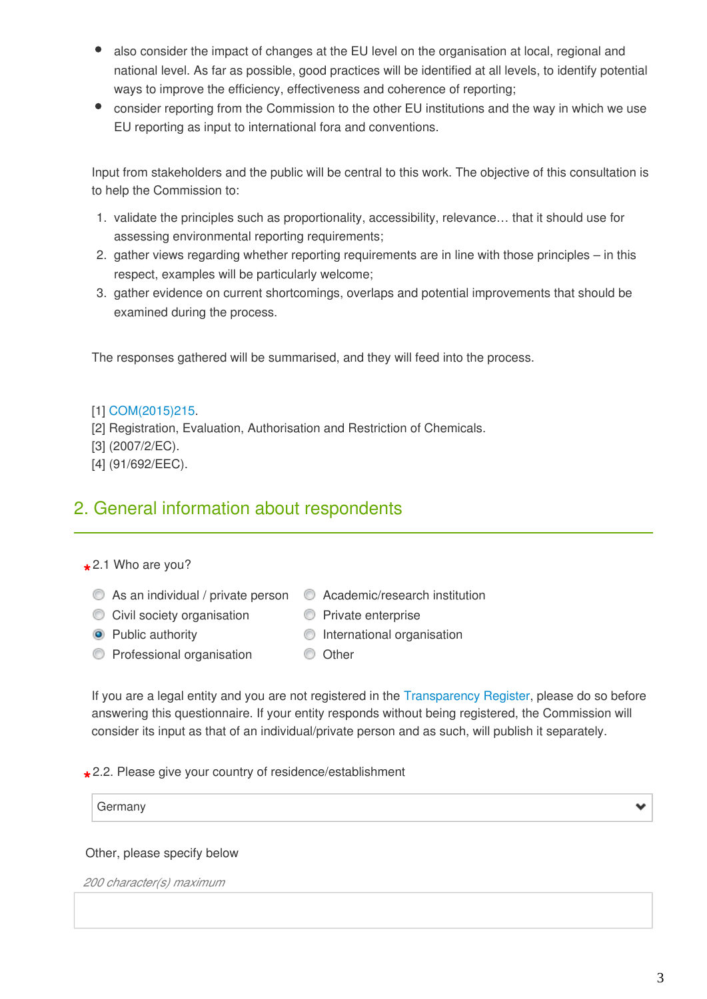- also consider the impact of changes at the EU level on the organisation at local, regional and national level. As far as possible, good practices will be identified at all levels, to identify potential ways to improve the efficiency, effectiveness and coherence of reporting;
- consider reporting from the Commission to the other EU institutions and the way in which we use EU reporting as input to international fora and conventions.

Input from stakeholders and the public will be central to this work. The objective of this consultation is to help the Commission to:

- 1. validate the principles such as proportionality, accessibility, relevance… that it should use for assessing environmental reporting requirements;
- 2. gather views regarding whether reporting requirements are in line with those principles in this respect, examples will be particularly welcome;
- 3. gather evidence on current shortcomings, overlaps and potential improvements that should be examined during the process.

The responses gathered will be summarised, and they will feed into the process.

#### [1] [COM\(2015\)215](http://ec.europa.eu/smart-regulation/better_regulation/documents/com_2015_215_en.pdf).

- [2] Registration, Evaluation, Authorisation and Restriction of Chemicals.
- [3] (2007/2/EC).
- [4] (91/692/EEC).

### 2. General information about respondents

## **\*** 2.1 Who are you?

- $\bullet$  As an individual / private person  $\bullet$  Academic/research institution
	-
- -
- C Civil society organisation C Private enterprise
- Public authority **International organisation**
- **C** Professional organisation **C** Other
- If you are a legal entity and you are not registered in the [Transparency Register](http://ec.europa.eu/transparencyregister/public/homePage.do?locale=en#en), please do so before answering this questionnaire. If your entity responds without being registered, the Commission will consider its input as that of an individual/private person and as such, will publish it separately.

**\*** 2.2. Please give your country of residence/establishment

#### Other, please specify below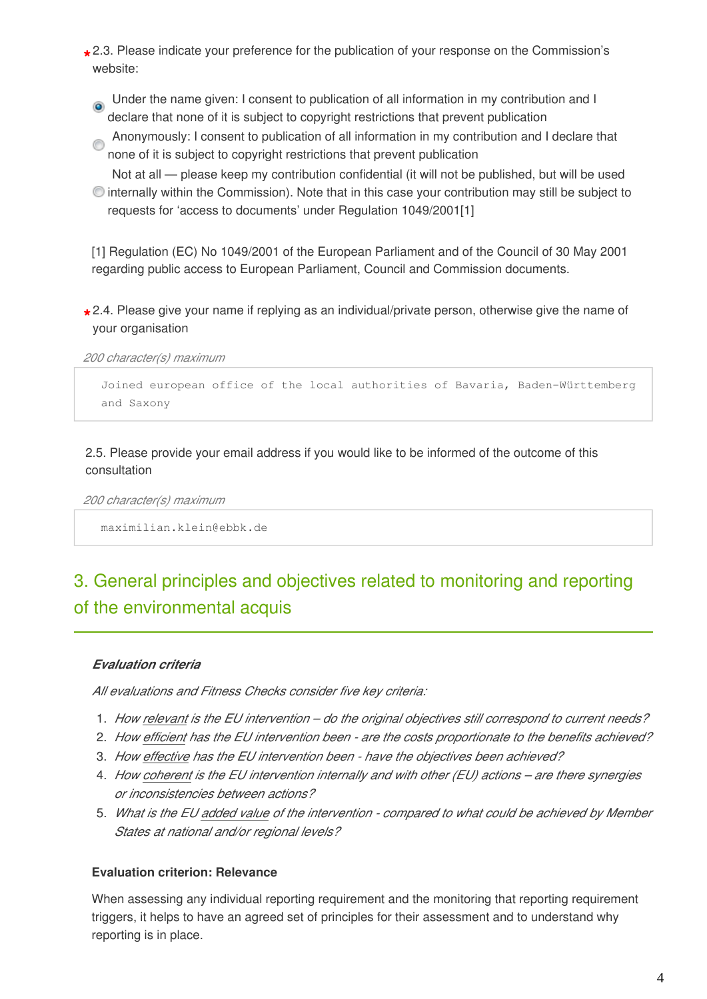- **\*** 2.3. Please indicate your preference for the publication of your response on the Commission's website:
	- Under the name given: I consent to publication of all information in my contribution and I ۵ declare that none of it is subject to copyright restrictions that prevent publication
	- Anonymously: I consent to publication of all information in my contribution and I declare that none of it is subject to copyright restrictions that prevent publication
	- Not at all please keep my contribution confidential (it will not be published, but will be used internally within the Commission). Note that in this case your contribution may still be subject to requests for 'access to documents' under Regulation 1049/2001[1]

[1] Regulation (EC) No 1049/2001 of the European Parliament and of the Council of 30 May 2001 regarding public access to European Parliament, Council and Commission documents.

**\*** 2.4. Please give your name if replying as an individual/private person, otherwise give the name of your organisation

*200 character(s) maximum* 

Joined european office of the local authorities of Bavaria, Baden-Württemberg and Saxony

2.5. Please provide your email address if you would like to be informed of the outcome of this consultation

*200 character(s) maximum* 

maximilian.klein@ebbk.de

## 3. General principles and objectives related to monitoring and reporting of the environmental acquis

#### *Evaluation criteria*

*All evaluations and Fitness Checks consider five key criteria:*

- 1. *How relevant is the EU intervention do the original objectives still correspond to current needs?*
- 2. *How efficient has the EU intervention been are the costs proportionate to the benefits achieved?*
- 3. *How effective has the EU intervention been have the objectives been achieved?*
- 4. *How coherent is the EU intervention internally and with other (EU) actions are there synergies or inconsistencies between actions?*
- 5. *What is the EU added value of the intervention compared to what could be achieved by Member States at national and/or regional levels?*

#### **Evaluation criterion: Relevance**

When assessing any individual reporting requirement and the monitoring that reporting requirement triggers, it helps to have an agreed set of principles for their assessment and to understand why reporting is in place.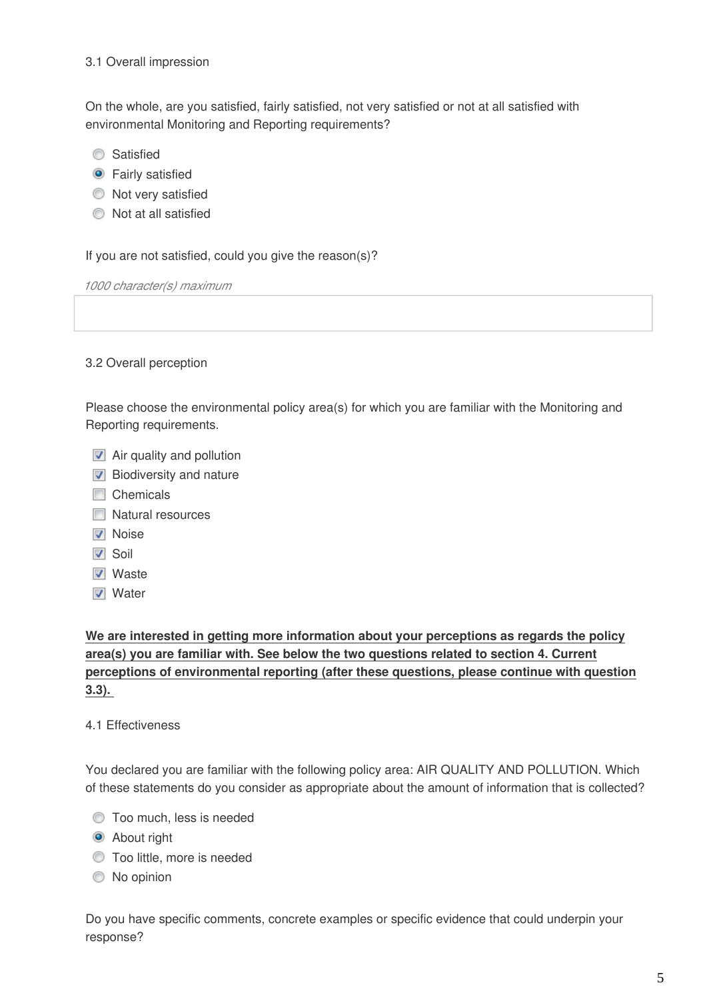#### 3.1 Overall impression

On the whole, are you satisfied, fairly satisfied, not very satisfied or not at all satisfied with environmental Monitoring and Reporting requirements?

- **Satisfied**
- **O** Fairly satisfied
- $\bullet$  Not very satisfied
- Not at all satisfied

If you are not satisfied, could you give the reason(s)?

*1000 character(s) maximum* 

#### 3.2 Overall perception

Please choose the environmental policy area(s) for which you are familiar with the Monitoring and Reporting requirements.

- **Air quality and pollution**
- $\nabla$  Biodiversity and nature
- **□** Chemicals
- **Natural resources**
- **V** Noise
- $\overline{\mathsf{v}}$  Soil
- **V** Waste
- **V** Water

**We are interested in getting more information about your perceptions as regards the policy area(s) you are familiar with. See below the two questions related to section 4. Current perceptions of environmental reporting (after these questions, please continue with question 3.3).**

#### 4.1 Effectiveness

You declared you are familiar with the following policy area: AIR QUALITY AND POLLUTION. Which of these statements do you consider as appropriate about the amount of information that is collected?

- $\bullet$  Too much, less is needed
- **About right**
- **Too little, more is needed**
- $\bullet$  No opinion

Do you have specific comments, concrete examples or specific evidence that could underpin your response?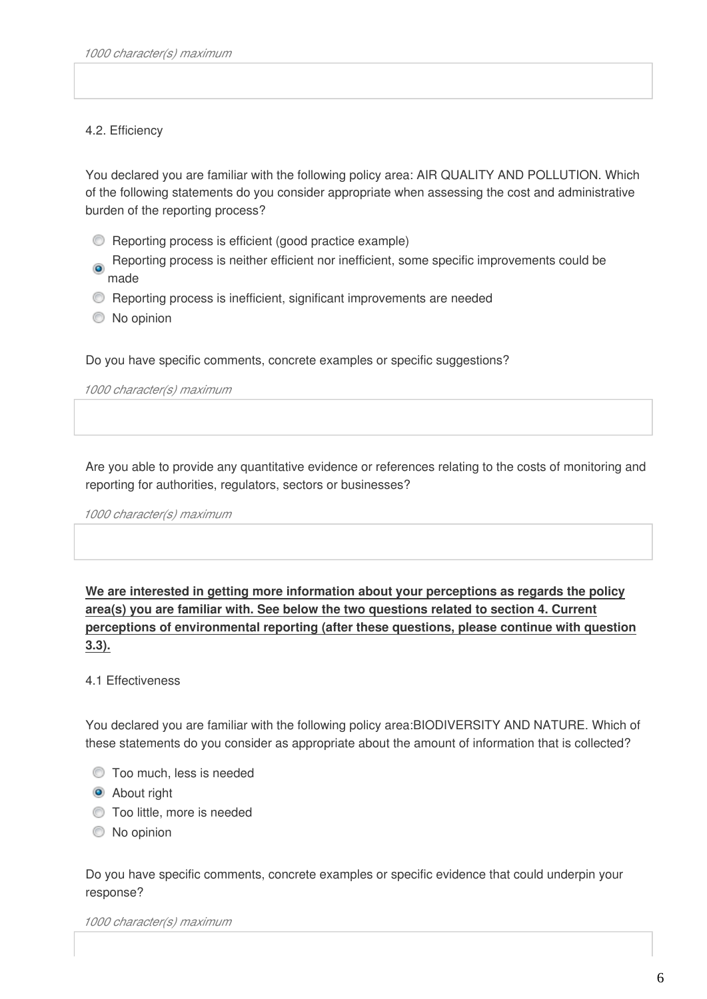#### 4.2. Efficiency

You declared you are familiar with the following policy area: AIR QUALITY AND POLLUTION. Which of the following statements do you consider appropriate when assessing the cost and administrative burden of the reporting process?

- Reporting process is efficient (good practice example)
- Reporting process is neither efficient nor inefficient, some specific improvements could be  $\bullet$ made
- Reporting process is inefficient, significant improvements are needed
- $\bullet$  No opinion

Do you have specific comments, concrete examples or specific suggestions?

*1000 character(s) maximum* 

Are you able to provide any quantitative evidence or references relating to the costs of monitoring and reporting for authorities, regulators, sectors or businesses?

*1000 character(s) maximum* 

**We are interested in getting more information about your perceptions as regards the policy area(s) you are familiar with. See below the two questions related to section 4. Current perceptions of environmental reporting (after these questions, please continue with question 3.3).**

#### 4.1 Effectiveness

You declared you are familiar with the following policy area:BIODIVERSITY AND NATURE. Which of these statements do you consider as appropriate about the amount of information that is collected?

- $\bullet$  Too much, less is needed
- **About right**
- **Too little, more is needed**
- $\circledcirc$  No opinion

Do you have specific comments, concrete examples or specific evidence that could underpin your response?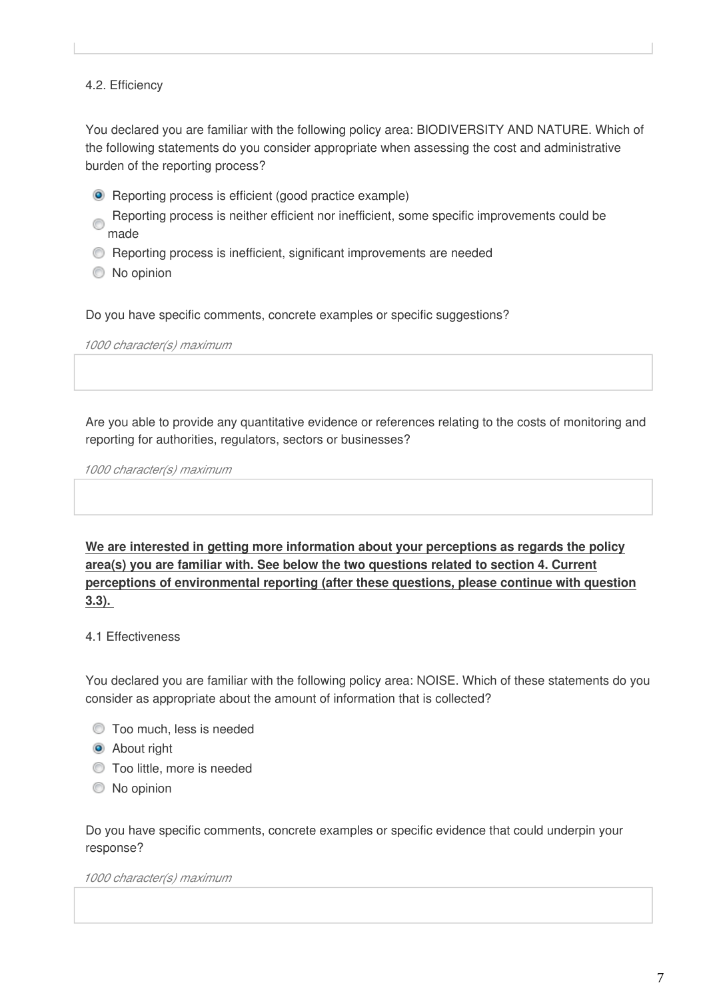#### 4.2. Efficiency

You declared you are familiar with the following policy area: BIODIVERSITY AND NATURE. Which of the following statements do you consider appropriate when assessing the cost and administrative burden of the reporting process?

- **•** Reporting process is efficient (good practice example)
- Reporting process is neither efficient nor inefficient, some specific improvements could be made
- Reporting process is inefficient, significant improvements are needed
- $\bullet$  No opinion

Do you have specific comments, concrete examples or specific suggestions?

*1000 character(s) maximum* 

Are you able to provide any quantitative evidence or references relating to the costs of monitoring and reporting for authorities, regulators, sectors or businesses?

*1000 character(s) maximum* 

**We are interested in getting more information about your perceptions as regards the policy area(s) you are familiar with. See below the two questions related to section 4. Current perceptions of environmental reporting (after these questions, please continue with question 3.3).**

#### 4.1 Effectiveness

You declared you are familiar with the following policy area: NOISE. Which of these statements do you consider as appropriate about the amount of information that is collected?

- $\bullet$  Too much, less is needed
- **About right**
- **Too little, more is needed**
- $\bullet$  No opinion

Do you have specific comments, concrete examples or specific evidence that could underpin your response?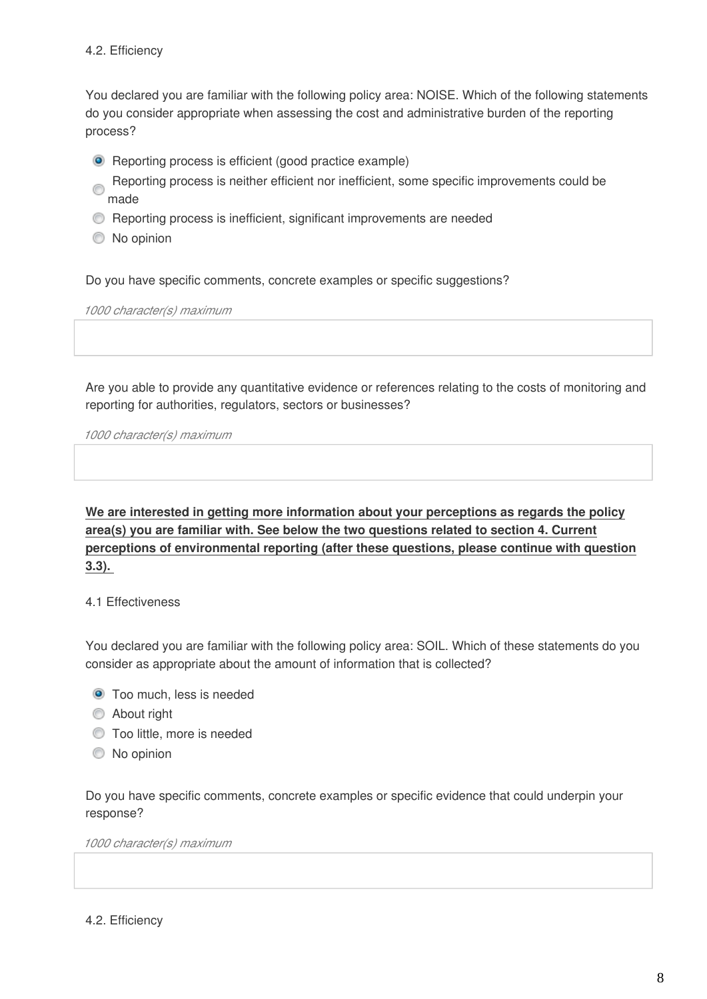You declared you are familiar with the following policy area: NOISE. Which of the following statements do you consider appropriate when assessing the cost and administrative burden of the reporting process?

- **•** Reporting process is efficient (good practice example)
- Reporting process is neither efficient nor inefficient, some specific improvements could be made
- Reporting process is inefficient, significant improvements are needed
- $\circledcirc$  No opinion

Do you have specific comments, concrete examples or specific suggestions?

*1000 character(s) maximum* 

Are you able to provide any quantitative evidence or references relating to the costs of monitoring and reporting for authorities, regulators, sectors or businesses?

*1000 character(s) maximum* 

**We are interested in getting more information about your perceptions as regards the policy area(s) you are familiar with. See below the two questions related to section 4. Current perceptions of environmental reporting (after these questions, please continue with question 3.3).**

#### 4.1 Effectiveness

You declared you are familiar with the following policy area: SOIL. Which of these statements do you consider as appropriate about the amount of information that is collected?

- **O** Too much, less is needed
- **About right**
- **Too little, more is needed**
- $\bullet$  No opinion

Do you have specific comments, concrete examples or specific evidence that could underpin your response?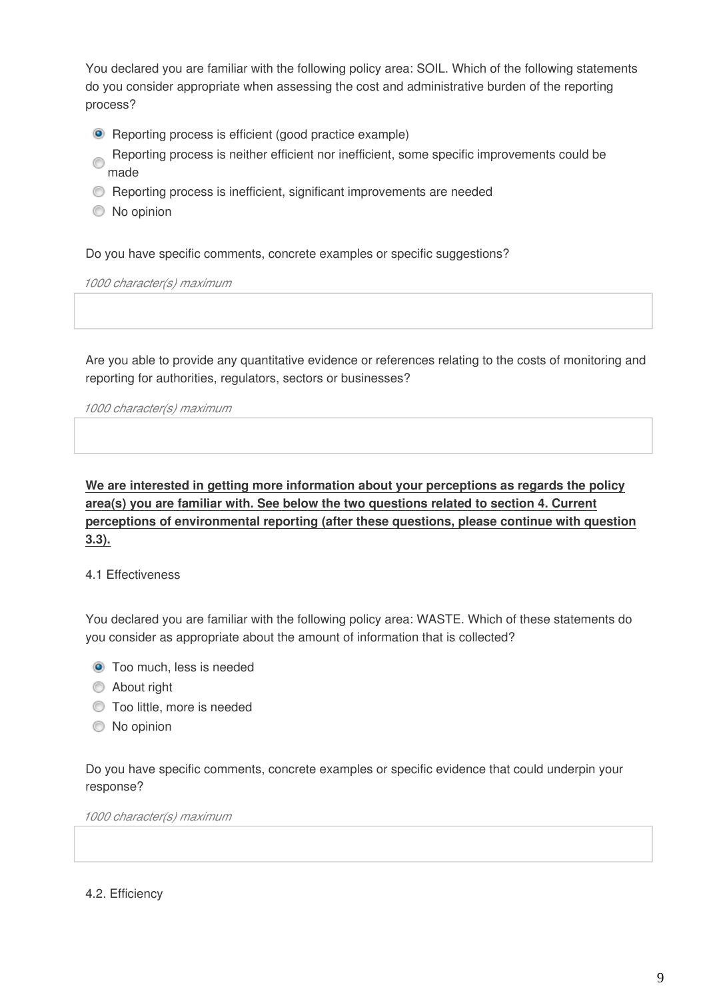You declared you are familiar with the following policy area: SOIL. Which of the following statements do you consider appropriate when assessing the cost and administrative burden of the reporting process?

- **•** Reporting process is efficient (good practice example)
- Reporting process is neither efficient nor inefficient, some specific improvements could be ⋒ made
- Reporting process is inefficient, significant improvements are needed
- $\circledcirc$  No opinion

Do you have specific comments, concrete examples or specific suggestions?

*1000 character(s) maximum* 

Are you able to provide any quantitative evidence or references relating to the costs of monitoring and reporting for authorities, regulators, sectors or businesses?

*1000 character(s) maximum* 

**We are interested in getting more information about your perceptions as regards the policy area(s) you are familiar with. See below the two questions related to section 4. Current perceptions of environmental reporting (after these questions, please continue with question 3.3).**

#### 4.1 Effectiveness

You declared you are familiar with the following policy area: WASTE. Which of these statements do you consider as appropriate about the amount of information that is collected?

- **O** Too much, less is needed
- **About right**
- **Too little, more is needed**
- $\bullet$  No opinion

Do you have specific comments, concrete examples or specific evidence that could underpin your response?

*1000 character(s) maximum* 

4.2. Efficiency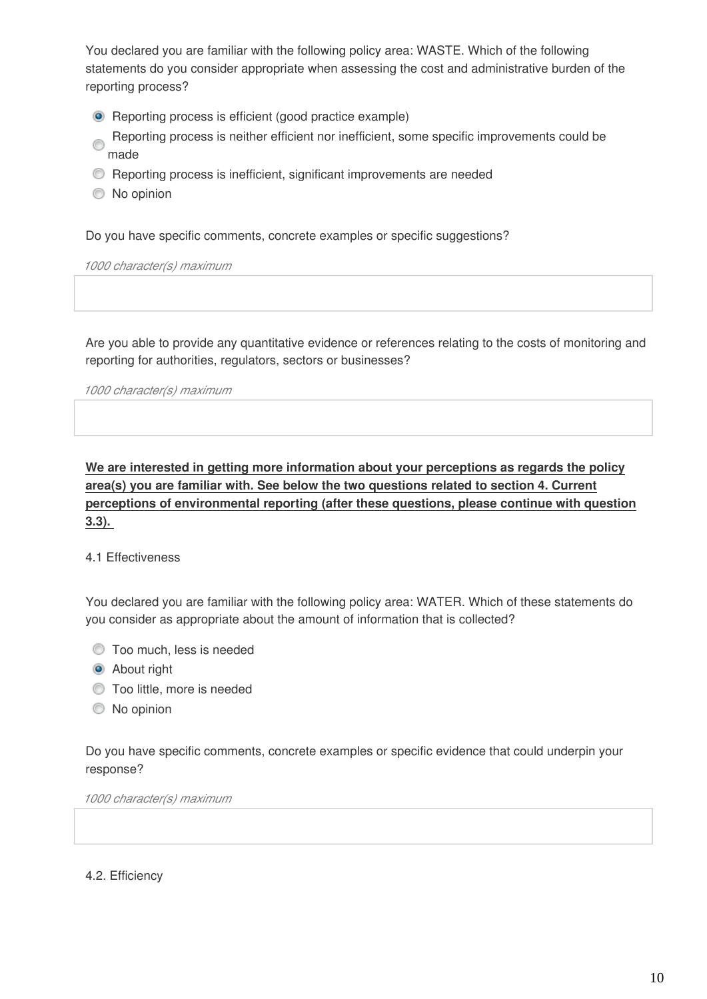You declared you are familiar with the following policy area: WASTE. Which of the following statements do you consider appropriate when assessing the cost and administrative burden of the reporting process?

- **•** Reporting process is efficient (good practice example)
- Reporting process is neither efficient nor inefficient, some specific improvements could be made
- **C** Reporting process is inefficient, significant improvements are needed
- $\bullet$  No opinion

Do you have specific comments, concrete examples or specific suggestions?

*1000 character(s) maximum* 

Are you able to provide any quantitative evidence or references relating to the costs of monitoring and reporting for authorities, regulators, sectors or businesses?

*1000 character(s) maximum* 

**We are interested in getting more information about your perceptions as regards the policy area(s) you are familiar with. See below the two questions related to section 4. Current perceptions of environmental reporting (after these questions, please continue with question 3.3).** 

#### 4.1 Effectiveness

You declared you are familiar with the following policy area: WATER. Which of these statements do you consider as appropriate about the amount of information that is collected?

- $\bullet$  Too much, less is needed
- **About right**
- $\bullet$  Too little, more is needed
- $\bullet$  No opinion

Do you have specific comments, concrete examples or specific evidence that could underpin your response?

*1000 character(s) maximum* 

4.2. Efficiency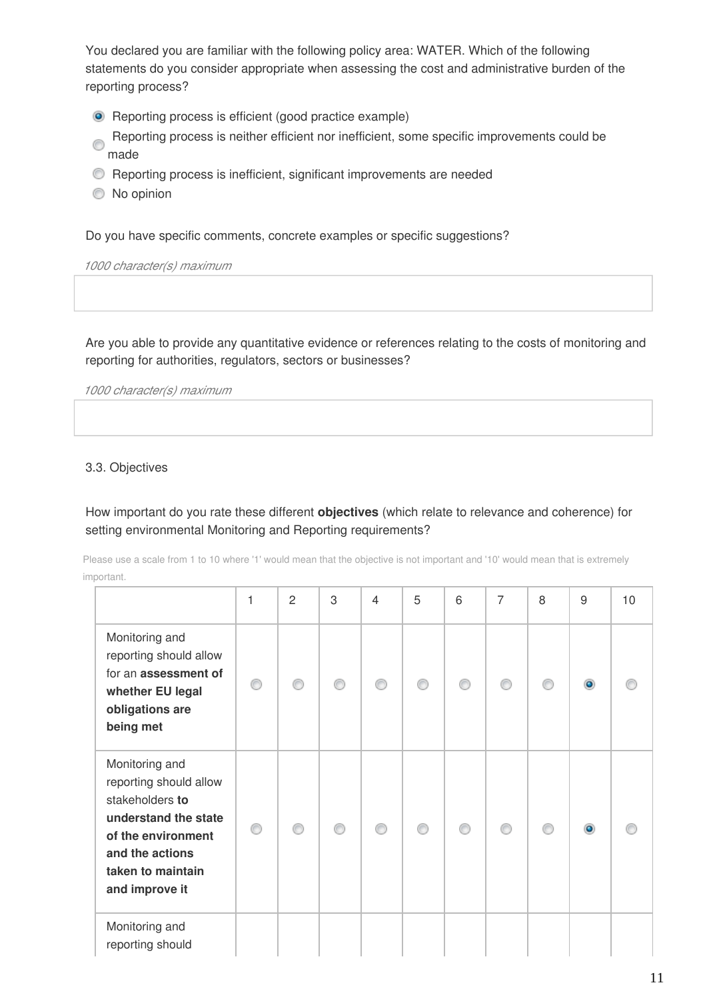You declared you are familiar with the following policy area: WATER. Which of the following statements do you consider appropriate when assessing the cost and administrative burden of the reporting process?

- **•** Reporting process is efficient (good practice example)
- Reporting process is neither efficient nor inefficient, some specific improvements could be Ò made
- Reporting process is inefficient, significant improvements are needed
- $\bullet$  No opinion

Do you have specific comments, concrete examples or specific suggestions?

*1000 character(s) maximum* 

Are you able to provide any quantitative evidence or references relating to the costs of monitoring and reporting for authorities, regulators, sectors or businesses?

*1000 character(s) maximum* 

#### 3.3. Objectives

How important do you rate these different **objectives** (which relate to relevance and coherence) for setting environmental Monitoring and Reporting requirements?

Please use a scale from 1 to 10 where '1' would mean that the objective is not important and '10' would mean that is extremely important.

|                                                                                                                                                                     | 1 | 2 | 3 | $\overline{4}$ | 5 | 6 | $\overline{7}$ | 8 | $9\,$ | 10 |
|---------------------------------------------------------------------------------------------------------------------------------------------------------------------|---|---|---|----------------|---|---|----------------|---|-------|----|
| Monitoring and<br>reporting should allow<br>for an assessment of<br>whether EU legal<br>obligations are<br>being met                                                |   |   |   |                |   |   |                |   |       |    |
| Monitoring and<br>reporting should allow<br>stakeholders to<br>understand the state<br>of the environment<br>and the actions<br>taken to maintain<br>and improve it | ⋒ |   |   |                | ⋒ |   |                | e |       |    |
| Monitoring and<br>reporting should                                                                                                                                  |   |   |   |                |   |   |                |   |       |    |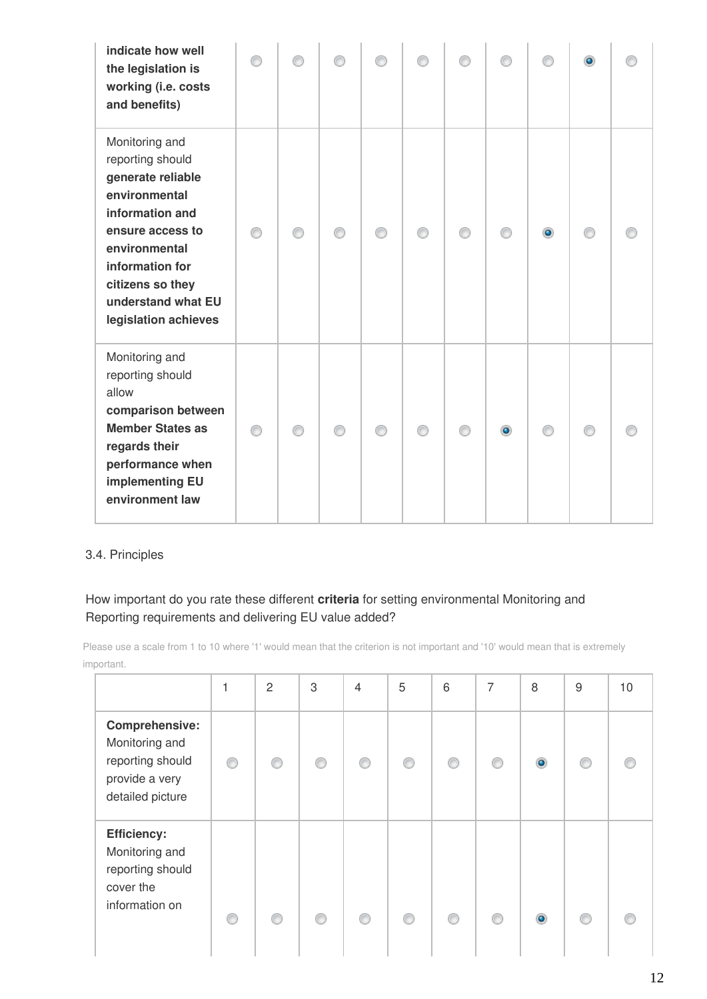| indicate how well<br>the legislation is<br>working (i.e. costs<br>and benefits)                                                                                                                                       |   |   |   |   |           |   | $\bullet$ |  |
|-----------------------------------------------------------------------------------------------------------------------------------------------------------------------------------------------------------------------|---|---|---|---|-----------|---|-----------|--|
| Monitoring and<br>reporting should<br>generate reliable<br>environmental<br>information and<br>ensure access to<br>environmental<br>information for<br>citizens so they<br>understand what EU<br>legislation achieves |   | ⋒ | ∩ | ⊙ |           |   | ⋒         |  |
| Monitoring and<br>reporting should<br>allow<br>comparison between<br><b>Member States as</b><br>regards their<br>performance when<br>implementing EU<br>environment law                                               | ∩ | ∩ | ∩ | ∩ | $\bullet$ | ∩ | ⋒         |  |

#### 3.4. Principles

#### How important do you rate these different **criteria** for setting environmental Monitoring and Reporting requirements and delivering EU value added?

Please use a scale from 1 to 10 where '1' would mean that the criterion is not important and '10' would mean that is extremely important.

|                                                                                            | 1 | $\overline{c}$ | 3 | $\overline{4}$ | 5 | 6       | 7  | 8 | 9 | 10 |
|--------------------------------------------------------------------------------------------|---|----------------|---|----------------|---|---------|----|---|---|----|
| Comprehensive:<br>Monitoring and<br>reporting should<br>provide a very<br>detailed picture |   | ⋒              | ⋒ |                |   |         |    |   |   |    |
| <b>Efficiency:</b><br>Monitoring and<br>reporting should<br>cover the<br>information on    |   | ⋒              | ∩ | ⋒              |   | $\circ$ | €. |   |   |    |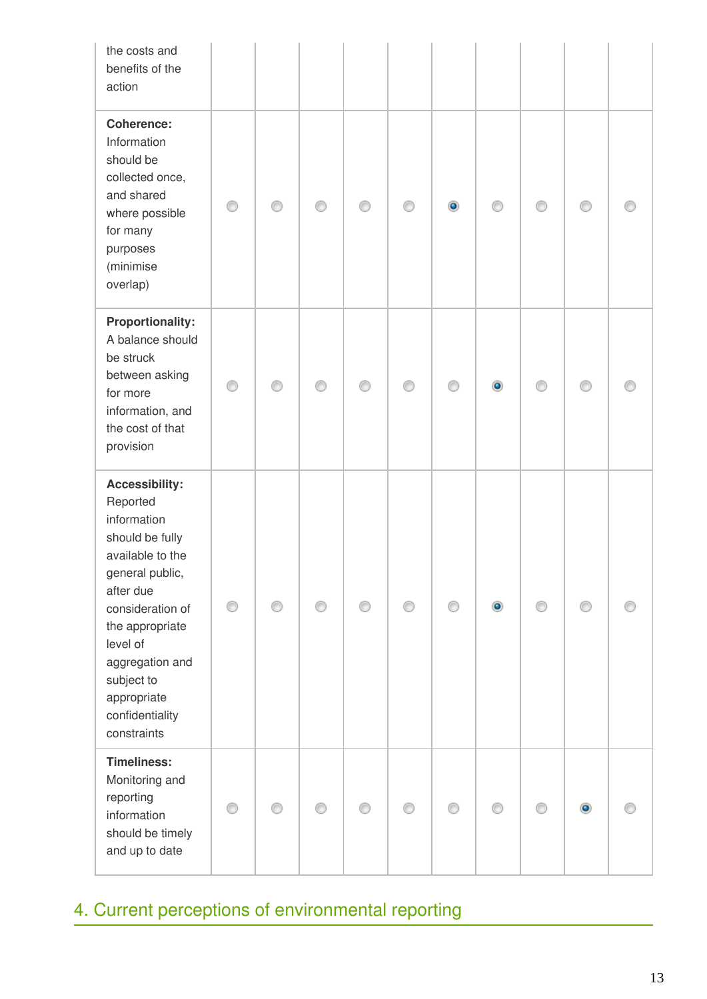| the costs and<br>benefits of the<br>action                                                                                                                                                                                                                   |   |   |   |   |   |           |           |   |   |  |
|--------------------------------------------------------------------------------------------------------------------------------------------------------------------------------------------------------------------------------------------------------------|---|---|---|---|---|-----------|-----------|---|---|--|
| <b>Coherence:</b><br>Information<br>should be<br>collected once,<br>and shared<br>where possible<br>for many<br>purposes<br>(minimise<br>overlap)                                                                                                            | ⊙ | ∩ | ∩ | ∩ | ⊙ | $\bullet$ | ∩         | ⊙ | ⊙ |  |
| <b>Proportionality:</b><br>A balance should<br>be struck<br>between asking<br>for more<br>information, and<br>the cost of that<br>provision                                                                                                                  | ⊙ | ⋒ |   | ⋒ | ∩ | ∩         | $\bullet$ |   |   |  |
| <b>Accessibility:</b><br>Reported<br>information<br>should be fully<br>available to the<br>general public,<br>after due<br>consideration of<br>the appropriate<br>level of<br>aggregation and<br>subject to<br>appropriate<br>confidentiality<br>constraints | ⊙ |   |   |   | ⊙ |           | $\bullet$ |   |   |  |
| <b>Timeliness:</b><br>Monitoring and<br>reporting<br>information<br>should be timely<br>and up to date                                                                                                                                                       | ⊙ | ∩ |   |   | ⊙ | ∩         | ⊙         | ⋒ |   |  |

# 4. Current perceptions of environmental reporting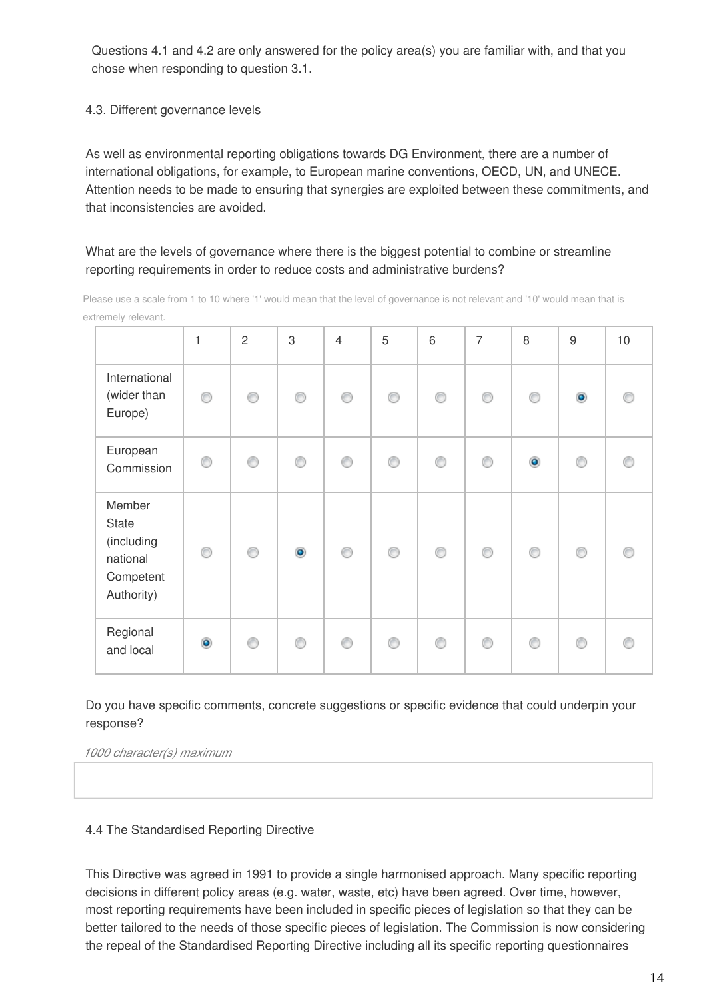Questions 4.1 and 4.2 are only answered for the policy area(s) you are familiar with, and that you chose when responding to question 3.1.

4.3. Different governance levels

As well as environmental reporting obligations towards DG Environment, there are a number of international obligations, for example, to European marine conventions, OECD, UN, and UNECE. Attention needs to be made to ensuring that synergies are exploited between these commitments, and that inconsistencies are avoided.

#### What are the levels of governance where there is the biggest potential to combine or streamline reporting requirements in order to reduce costs and administrative burdens?

|                                                                      | $\mathbf 1$    | $\overline{2}$ | 3         | $\overline{4}$ | 5 | 6 | $\overline{7}$ | 8         | $\boldsymbol{9}$ | 10 |
|----------------------------------------------------------------------|----------------|----------------|-----------|----------------|---|---|----------------|-----------|------------------|----|
| International<br>(wider than<br>Europe)                              | ⊙              | 0              | ◉         | 0              | ⊙ | ◉ | ⊙              | ◉         | $\bullet$        |    |
| European<br>Commission                                               | ⋒              | ◉              | ⊙         | 0              | ∩ | ◉ | ∩              | $\bullet$ | ⊙                |    |
| Member<br>State<br>(including<br>national<br>Competent<br>Authority) | ⋒              | ⊙              | $\bullet$ | $_{\circ}$     | 0 | 0 | ◉              | ◉         | ⊙                |    |
| Regional<br>and local                                                | $\circledcirc$ | ⊙              | ⋒         | ⊙              | C | ⋒ | ⋒              | ⋒         | ∩                |    |

Please use a scale from 1 to 10 where '1' would mean that the level of governance is not relevant and '10' would mean that is extremely relevant.

Do you have specific comments, concrete suggestions or specific evidence that could underpin your response?

*1000 character(s) maximum* 

#### 4.4 The Standardised Reporting Directive

This Directive was agreed in 1991 to provide a single harmonised approach. Many specific reporting decisions in different policy areas (e.g. water, waste, etc) have been agreed. Over time, however, most reporting requirements have been included in specific pieces of legislation so that they can be better tailored to the needs of those specific pieces of legislation. The Commission is now considering the repeal of the Standardised Reporting Directive including all its specific reporting questionnaires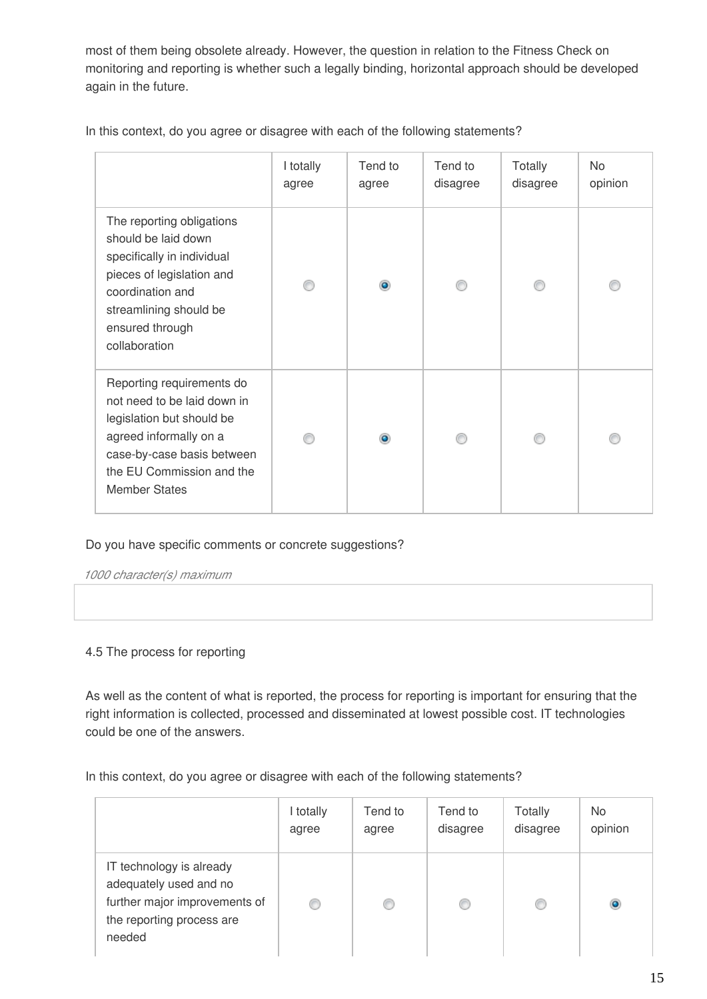most of them being obsolete already. However, the question in relation to the Fitness Check on monitoring and reporting is whether such a legally binding, horizontal approach should be developed again in the future.

|                                                                                                                                                                                                    | I totally<br>agree | Tend to<br>agree | Tend to<br>disagree | Totally<br>disagree | No<br>opinion |
|----------------------------------------------------------------------------------------------------------------------------------------------------------------------------------------------------|--------------------|------------------|---------------------|---------------------|---------------|
| The reporting obligations<br>should be laid down<br>specifically in individual<br>pieces of legislation and<br>coordination and<br>streamlining should be<br>ensured through<br>collaboration      |                    |                  |                     |                     |               |
| Reporting requirements do<br>not need to be laid down in<br>legislation but should be<br>agreed informally on a<br>case-by-case basis between<br>the EU Commission and the<br><b>Member States</b> |                    |                  |                     |                     |               |

In this context, do you agree or disagree with each of the following statements?

#### Do you have specific comments or concrete suggestions?

*1000 character(s) maximum* 

#### 4.5 The process for reporting

As well as the content of what is reported, the process for reporting is important for ensuring that the right information is collected, processed and disseminated at lowest possible cost. IT technologies could be one of the answers.

In this context, do you agree or disagree with each of the following statements?

|                                                                                                                            | I totally | Tend to | Tend to  | Totally  | No.     |
|----------------------------------------------------------------------------------------------------------------------------|-----------|---------|----------|----------|---------|
|                                                                                                                            | agree     | agree   | disagree | disagree | opinion |
| IT technology is already<br>adequately used and no<br>further major improvements of<br>the reporting process are<br>needed |           | O       |          |          | ۵       |